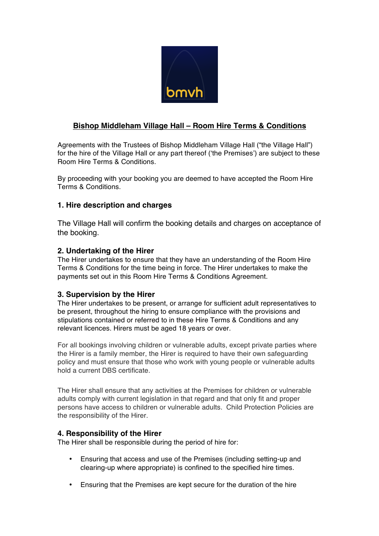

# **Bishop Middleham Village Hall – Room Hire Terms & Conditions**

Agreements with the Trustees of Bishop Middleham Village Hall ("the Village Hall") for the hire of the Village Hall or any part thereof ('the Premises') are subject to these Room Hire Terms & Conditions.

By proceeding with your booking you are deemed to have accepted the Room Hire Terms & Conditions.

# **1. Hire description and charges**

The Village Hall will confirm the booking details and charges on acceptance of the booking.

# **2. Undertaking of the Hirer**

The Hirer undertakes to ensure that they have an understanding of the Room Hire Terms & Conditions for the time being in force. The Hirer undertakes to make the payments set out in this Room Hire Terms & Conditions Agreement.

# **3. Supervision by the Hirer**

The Hirer undertakes to be present, or arrange for sufficient adult representatives to be present, throughout the hiring to ensure compliance with the provisions and stipulations contained or referred to in these Hire Terms & Conditions and any relevant licences. Hirers must be aged 18 years or over.

For all bookings involving children or vulnerable adults, except private parties where the Hirer is a family member, the Hirer is required to have their own safeguarding policy and must ensure that those who work with young people or vulnerable adults hold a current DBS certificate.

The Hirer shall ensure that any activities at the Premises for children or vulnerable adults comply with current legislation in that regard and that only fit and proper persons have access to children or vulnerable adults. Child Protection Policies are the responsibility of the Hirer.

#### **4. Responsibility of the Hirer**

The Hirer shall be responsible during the period of hire for:

- Ensuring that access and use of the Premises (including setting-up and clearing-up where appropriate) is confined to the specified hire times.
- Ensuring that the Premises are kept secure for the duration of the hire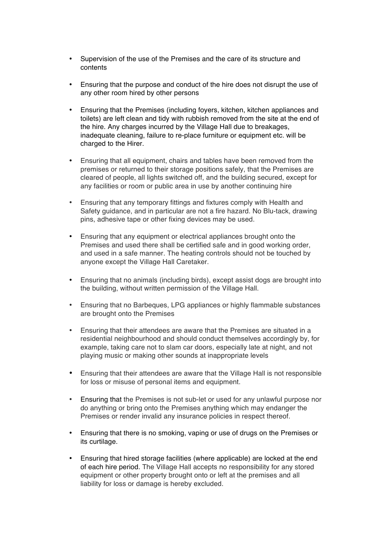- Supervision of the use of the Premises and the care of its structure and contents
- Ensuring that the purpose and conduct of the hire does not disrupt the use of any other room hired by other persons
- Ensuring that the Premises (including foyers, kitchen, kitchen appliances and toilets) are left clean and tidy with rubbish removed from the site at the end of the hire. Any charges incurred by the Village Hall due to breakages, inadequate cleaning, failure to re-place furniture or equipment etc. will be charged to the Hirer.
- Ensuring that all equipment, chairs and tables have been removed from the premises or returned to their storage positions safely, that the Premises are cleared of people, all lights switched off, and the building secured, except for any facilities or room or public area in use by another continuing hire
- Ensuring that any temporary fittings and fixtures comply with Health and Safety guidance, and in particular are not a fire hazard. No Blu-tack, drawing pins, adhesive tape or other fixing devices may be used.
- Ensuring that any equipment or electrical appliances brought onto the Premises and used there shall be certified safe and in good working order, and used in a safe manner. The heating controls should not be touched by anyone except the Village Hall Caretaker.
- Ensuring that no animals (including birds), except assist dogs are brought into the building, without written permission of the Village Hall.
- Ensuring that no Barbeques, LPG appliances or highly flammable substances are brought onto the Premises
- Ensuring that their attendees are aware that the Premises are situated in a residential neighbourhood and should conduct themselves accordingly by, for example, taking care not to slam car doors, especially late at night, and not playing music or making other sounds at inappropriate levels
- Ensuring that their attendees are aware that the Village Hall is not responsible for loss or misuse of personal items and equipment.
- Ensuring that the Premises is not sub-let or used for any unlawful purpose nor do anything or bring onto the Premises anything which may endanger the Premises or render invalid any insurance policies in respect thereof.
- Ensuring that there is no smoking, vaping or use of drugs on the Premises or its curtilage.
- Ensuring that hired storage facilities (where applicable) are locked at the end of each hire period. The Village Hall accepts no responsibility for any stored equipment or other property brought onto or left at the premises and all liability for loss or damage is hereby excluded.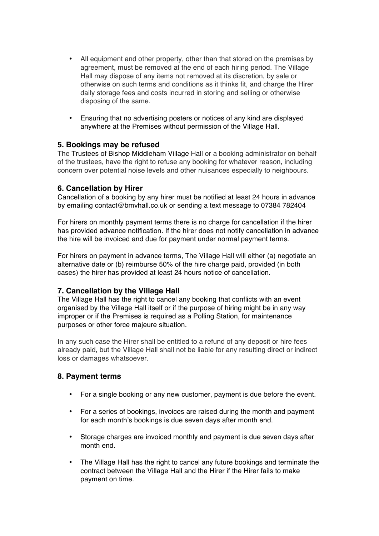- All equipment and other property, other than that stored on the premises by agreement, must be removed at the end of each hiring period. The Village Hall may dispose of any items not removed at its discretion, by sale or otherwise on such terms and conditions as it thinks fit, and charge the Hirer daily storage fees and costs incurred in storing and selling or otherwise disposing of the same.
- Ensuring that no advertising posters or notices of any kind are displayed anywhere at the Premises without permission of the Village Hall.

#### **5. Bookings may be refused**

The Trustees of Bishop Middleham Village Hall or a booking administrator on behalf of the trustees, have the right to refuse any booking for whatever reason, including concern over potential noise levels and other nuisances especially to neighbours.

#### **6. Cancellation by Hirer**

Cancellation of a booking by any hirer must be notified at least 24 hours in advance by emailing contact@bmvhall.co.uk or sending a text message to 07384 782404

For hirers on monthly payment terms there is no charge for cancellation if the hirer has provided advance notification. If the hirer does not notify cancellation in advance the hire will be invoiced and due for payment under normal payment terms.

For hirers on payment in advance terms, The Village Hall will either (a) negotiate an alternative date or (b) reimburse 50% of the hire charge paid, provided (in both cases) the hirer has provided at least 24 hours notice of cancellation.

#### **7. Cancellation by the Village Hall**

The Village Hall has the right to cancel any booking that conflicts with an event organised by the Village Hall itself or if the purpose of hiring might be in any way improper or if the Premises is required as a Polling Station, for maintenance purposes or other force majeure situation.

In any such case the Hirer shall be entitled to a refund of any deposit or hire fees already paid, but the Village Hall shall not be liable for any resulting direct or indirect loss or damages whatsoever.

# **8. Payment terms**

- For a single booking or any new customer, payment is due before the event.
- For a series of bookings, invoices are raised during the month and payment for each month's bookings is due seven days after month end.
- Storage charges are invoiced monthly and payment is due seven days after month end.
- The Village Hall has the right to cancel any future bookings and terminate the contract between the Village Hall and the Hirer if the Hirer fails to make payment on time.